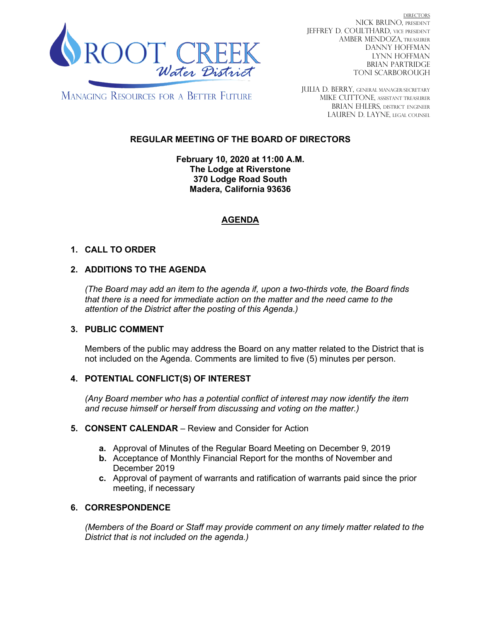

DIRECTORS NICK BRUNO, PRESIDENT JEFFREY D. COULTHARD, Vice President AMBER MENDOZA, TREASURER DANNY HOFFMAN LYNN HOFFMAN BRIAN PARTRIDGE TONI SCARBOROUGH

**MANAGING RESOURCES FOR A BETTER FUTURE** 

JULIA D. BERRY, GENERAL MANAGER/secretary MIKE CUTTONE, Assistant treasurer BRIAN EHLERS, DISTRICT ENGINEER LAUREN D. LAYNE, LEGAL COUNSEL

# **REGULAR MEETING OF THE BOARD OF DIRECTORS**

**February 10, 2020 at 11:00 A.M. The Lodge at Riverstone 370 Lodge Road South Madera, California 93636**

# **AGENDA**

## **1. CALL TO ORDER**

## **2. ADDITIONS TO THE AGENDA**

*(The Board may add an item to the agenda if, upon a two-thirds vote, the Board finds that there is a need for immediate action on the matter and the need came to the attention of the District after the posting of this Agenda.)*

### **3. PUBLIC COMMENT**

Members of the public may address the Board on any matter related to the District that is not included on the Agenda. Comments are limited to five (5) minutes per person.

### **4. POTENTIAL CONFLICT(S) OF INTEREST**

*(Any Board member who has a potential conflict of interest may now identify the item and recuse himself or herself from discussing and voting on the matter.)*

#### **5. CONSENT CALENDAR** – Review and Consider for Action

- **a.** Approval of Minutes of the Regular Board Meeting on December 9, 2019
- **b.** Acceptance of Monthly Financial Report for the months of November and December 2019
- **c.** Approval of payment of warrants and ratification of warrants paid since the prior meeting, if necessary

### **6. CORRESPONDENCE**

*(Members of the Board or Staff may provide comment on any timely matter related to the District that is not included on the agenda.)*